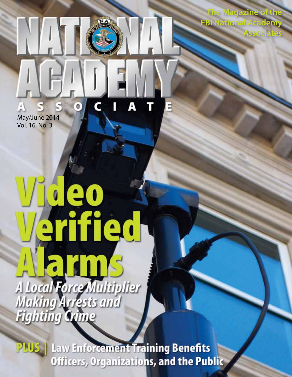**The Magazine of the FBI National Academy**

**Associates**

Ŧ May/June 2014 Vol. 16, No. 3

## $\mathbf{e}$  o erified A Local Force Multiplier<br>Making Arrests and<br>Fighting Game

 $\bullet$ 

**PLUS** | Law Enforcement Training Benefits Officers, Organizations, and the Public

A

IJ

ī

E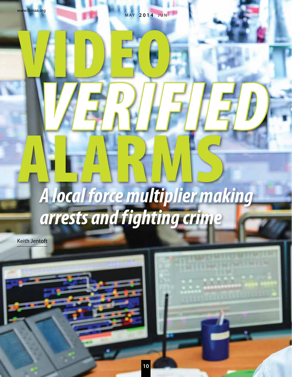www.fbinaa.org

 $\sqrt{\frac{1}{2}}$ 

MAY **2014** JUN

## Alarged force multiplier *A local force multiplier making arrests and f ighting crime*

*Verified*

Keith Jentoft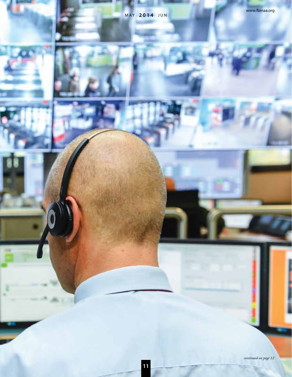